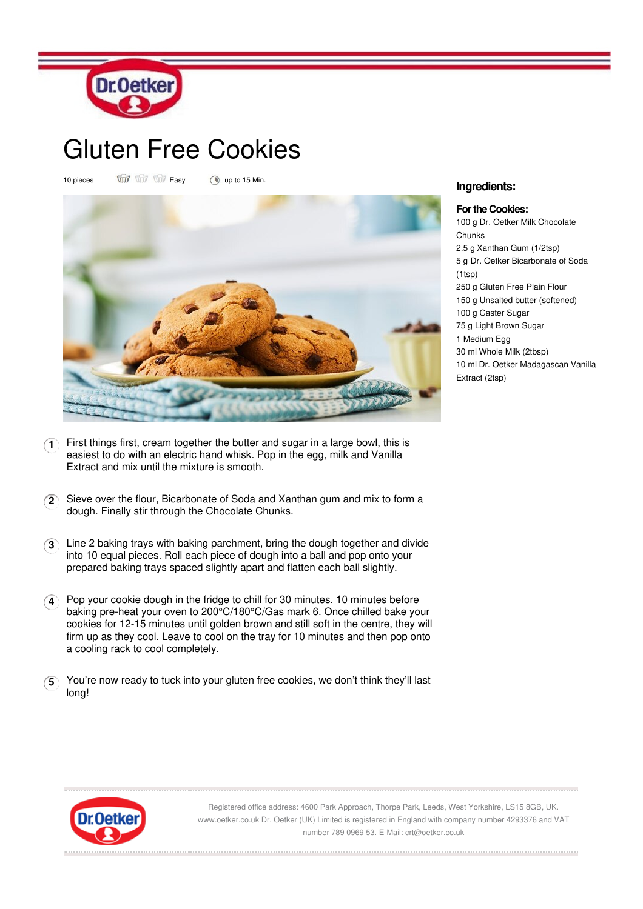

## Gluten Free Cookies

10 pieces  $\overrightarrow{uu}$   $\overrightarrow{uu}$  Easy (a) up to 15 Min.



- **1** First things first, cream together the butter and sugar in a large bowl, this is easiest to do with an electric hand whisk. Pop in the egg, milk and Vanilla Extract and mix until the mixture is smooth.
- **2** Sieve over the flour, Bicarbonate of Soda and Xanthan gum and mix to form a dough. Finally stir through the Chocolate Chunks.
- **3** Line 2 baking trays with baking parchment, bring the dough together and divide into 10 equal pieces. Roll each piece of dough into a ball and pop onto your prepared baking trays spaced slightly apart and flatten each ball slightly.
- **4** Pop your cookie dough in the fridge to chill for 30 minutes. 10 minutes before baking pre-heat your oven to 200°C/180°C/Gas mark 6. Once chilled bake your cookies for 12-15 minutes until golden brown and still soft in the centre, they will firm up as they cool. Leave to cool on the tray for 10 minutes and then pop onto a cooling rack to cool completely.
- **5** You're now ready to tuck into your gluten free cookies, we don't think they'll last long!

## **Ingredients:**

**For the Cookies:** 100 g Dr. Oetker Milk Chocolate **Chunks** 2.5 g Xanthan Gum (1/2tsp) 5 g Dr. Oetker Bicarbonate of Soda (1tsp) 250 g Gluten Free Plain Flour 150 g Unsalted butter (softened) 100 g Caster Sugar 75 g Light Brown Sugar 1 Medium Egg 30 ml Whole Milk (2tbsp) 10 ml Dr. Oetker Madagascan Vanilla Extract (2tsp)



Registered office address: 4600 Park Approach, Thorpe Park, Leeds, West Yorkshire, LS15 8GB, UK. www.oetker.co.uk Dr. Oetker (UK) Limited is registered in England with company number 4293376 and VAT number 789 0969 53. E-Mail: crt@oetker.co.uk